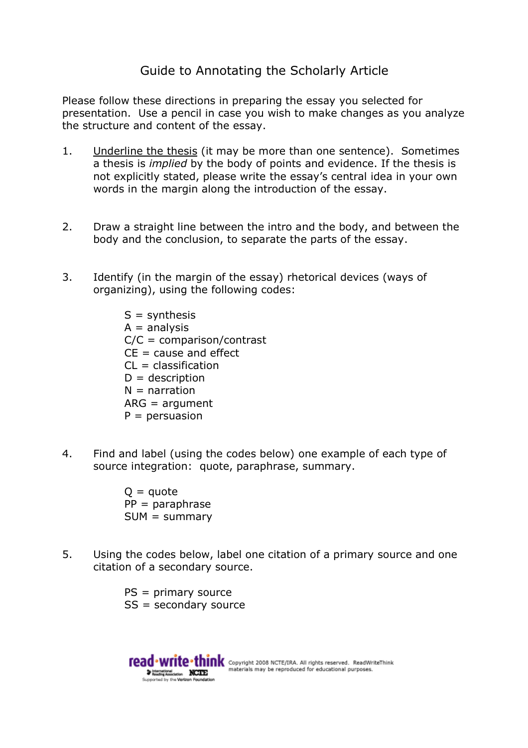## Guide to Annotating the Scholarly Article

Please follow these directions in preparing the essay you selected for presentation. Use a pencil in case you wish to make changes as you analyze the structure and content of the essay.

- 1. Underline the thesis (it may be more than one sentence). Sometimes a thesis is *implied* by the body of points and evidence. If the thesis is not explicitly stated, please write the essay's central idea in your own words in the margin along the introduction of the essay.
- 2. Draw a straight line between the intro and the body, and between the body and the conclusion, to separate the parts of the essay.
- 3. Identify (in the margin of the essay) rhetorical devices (ways of organizing), using the following codes:

 $S =$ synthesis  $A =$ analysis C/C = comparison/contrast  $CE = cause$  and effect  $CL = classification$  $D =$  description  $N =$  narration ARG = argument  $P =$  persuasion

4. Find and label (using the codes below) one example of each type of source integration: quote, paraphrase, summary.

> $Q =$ quote  $PP = paraphrase$  $SUM = summary$

5. Using the codes below, label one citation of a primary source and one citation of a secondary source.

> PS = primary source SS = secondary source